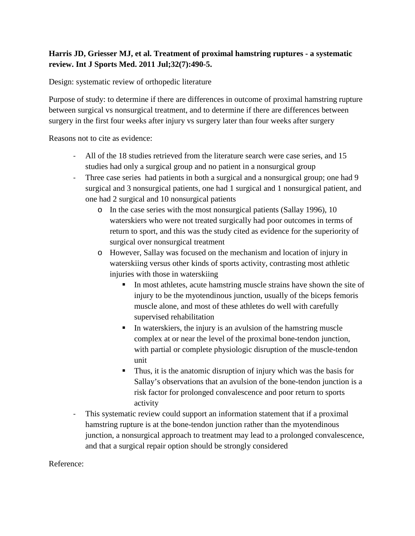## **Harris JD, Griesser MJ, et al. Treatment of proximal hamstring ruptures - a systematic review. Int J Sports Med. 2011 Jul;32(7):490-5.**

Design: systematic review of orthopedic literature

Purpose of study: to determine if there are differences in outcome of proximal hamstring rupture between surgical vs nonsurgical treatment, and to determine if there are differences between surgery in the first four weeks after injury vs surgery later than four weeks after surgery

Reasons not to cite as evidence:

- All of the 18 studies retrieved from the literature search were case series, and 15 studies had only a surgical group and no patient in a nonsurgical group
- Three case series had patients in both a surgical and a nonsurgical group; one had 9 surgical and 3 nonsurgical patients, one had 1 surgical and 1 nonsurgical patient, and one had 2 surgical and 10 nonsurgical patients
	- o In the case series with the most nonsurgical patients (Sallay 1996), 10 waterskiers who were not treated surgically had poor outcomes in terms of return to sport, and this was the study cited as evidence for the superiority of surgical over nonsurgical treatment
	- o However, Sallay was focused on the mechanism and location of injury in waterskiing versus other kinds of sports activity, contrasting most athletic injuries with those in waterskiing
		- In most athletes, acute hamstring muscle strains have shown the site of injury to be the myotendinous junction, usually of the biceps femoris muscle alone, and most of these athletes do well with carefully supervised rehabilitation
		- $\blacksquare$  In waterskiers, the injury is an avulsion of the hamstring muscle complex at or near the level of the proximal bone-tendon junction, with partial or complete physiologic disruption of the muscle-tendon unit
		- Thus, it is the anatomic disruption of injury which was the basis for Sallay's observations that an avulsion of the bone-tendon junction is a risk factor for prolonged convalescence and poor return to sports activity
- This systematic review could support an information statement that if a proximal hamstring rupture is at the bone-tendon junction rather than the myotendinous junction, a nonsurgical approach to treatment may lead to a prolonged convalescence, and that a surgical repair option should be strongly considered

Reference: